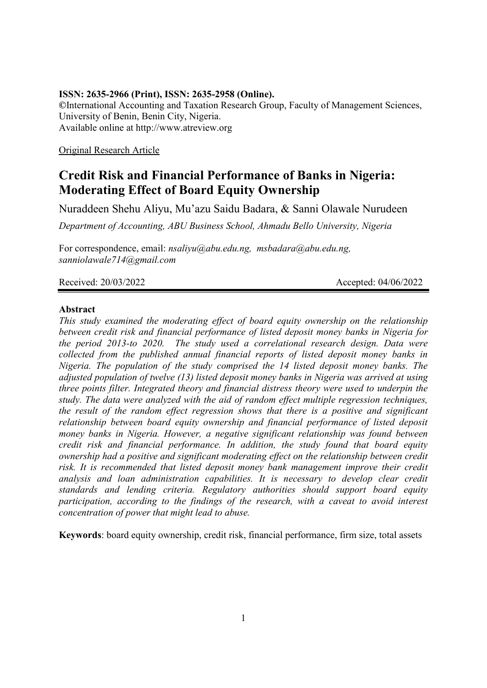# **ISSN: 2635-2966 (Print), ISSN: 2635-2958 (Online).**

**©**International Accounting and Taxation Research Group, Faculty of Management Sciences, University of Benin, Benin City, Nigeria. Available online at http://www.atreview.org

Original Research Article

# **Credit Risk and Financial Performance of Banks in Nigeria: Moderating Effect of Board Equity Ownership**

Nuraddeen Shehu Aliyu, Mu'azu Saidu Badara, & Sanni Olawale Nurudeen

*Department of Accounting, ABU Business School, Ahmadu Bello University, Nigeria*

For correspondence, email: *[nsaliyu@abu.edu.ng,](mailto:nsaliyu@abu.edu.ng) msbadara@abu.edu.ng, [sanniolawale714@gmail.com](mailto:sanniolawale714@gmail.com)*

Received: 20/03/2022 **Accepted: 04/06/2022** 

# **Abstract**

*This study examined the moderating effect of board equity ownership on the relationship between credit risk and financial performance of listed deposit money banks in Nigeria for the period 2013-to 2020. The study used a correlational research design. Data were collected from the published annual financial reports of listed deposit money banks in Nigeria. The population of the study comprised the 14 listed deposit money banks. The adjusted population of twelve (13) listed deposit money banks in Nigeria was arrived at using three points filter. Integrated theory and financial distress theory were used to underpin the study. The data were analyzed with the aid of random effect multiple regression techniques, the result of the random effect regression shows that there is a positive and significant relationship between board equity ownership and financial performance of listed deposit money banks in Nigeria. However, a negative significant relationship was found between credit risk and financial performance. In addition, the study found that board equity ownership had a positive and significant moderating effect on the relationship between credit risk. It is recommended that listed deposit money bank management improve their credit analysis and loan administration capabilities. It is necessary to develop clear credit standards and lending criteria. Regulatory authorities should support board equity participation, according to the findings of the research, with a caveat to avoid interest concentration of power that might lead to abuse.* 

**Keywords**: board equity ownership, credit risk, financial performance, firm size, total assets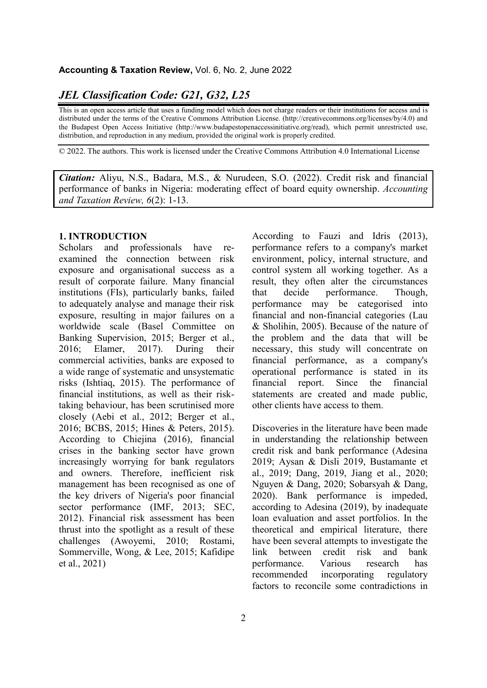# *JEL Classification Code: G21, G32, L25*

This is an open access article that uses a funding model which does not charge readers or their institutions for access and is distributed under the terms of the Creative Commons Attribution License. (http://creativecommons.org/licenses/by/4.0) and the Budapest Open Access Initiative (http://www.budapestopenaccessinitiative.org/read), which permit unrestricted use, distribution, and reproduction in any medium, provided the original work is properly credited.

© 2022. The authors. This work is licensed under the Creative Commons Attribution 4.0 International License

*Citation:* Aliyu, N.S., Badara, M.S., & Nurudeen, S.O. (2022). Credit risk and financial performance of banks in Nigeria: moderating effect of board equity ownership. *Accounting and Taxation Review, 6*(2): 1-13.

#### **1. INTRODUCTION**

Scholars and professionals have reexamined the connection between risk exposure and organisational success as a result of corporate failure. Many financial institutions (FIs), particularly banks, failed to adequately analyse and manage their risk exposure, resulting in major failures on a worldwide scale (Basel Committee on Banking Supervision, 2015; Berger et al., 2016; Elamer, 2017). During their commercial activities, banks are exposed to a wide range of systematic and unsystematic risks (Ishtiaq, 2015). The performance of financial institutions, as well as their risktaking behaviour, has been scrutinised more closely (Aebi et al., 2012; Berger et al., 2016; BCBS, 2015; Hines & Peters, 2015). According to Chiejina (2016), financial crises in the banking sector have grown increasingly worrying for bank regulators and owners. Therefore, inefficient risk management has been recognised as one of the key drivers of Nigeria's poor financial sector performance (IMF, 2013; SEC, 2012). Financial risk assessment has been thrust into the spotlight as a result of these challenges (Awoyemi, 2010; Rostami, Sommerville, Wong, & Lee, 2015; Kafidipe et al., 2021)

According to Fauzi and Idris (2013), performance refers to a company's market environment, policy, internal structure, and control system all working together. As a result, they often alter the circumstances that decide performance. Though, performance may be categorised into financial and non-financial categories (Lau & Sholihin, 2005). Because of the nature of the problem and the data that will be necessary, this study will concentrate on financial performance, as a company's operational performance is stated in its financial report. Since the financial statements are created and made public, other clients have access to them.

Discoveries in the literature have been made in understanding the relationship between credit risk and bank performance (Adesina 2019; Aysan & Disli 2019, Bustamante et al., 2019; Dang, 2019, Jiang et al., 2020; Nguyen & Dang, 2020; Sobarsyah & Dang, 2020). Bank performance is impeded, according to Adesina (2019), by inadequate loan evaluation and asset portfolios. In the theoretical and empirical literature, there have been several attempts to investigate the link between credit risk and bank performance. Various research has recommended incorporating regulatory factors to reconcile some contradictions in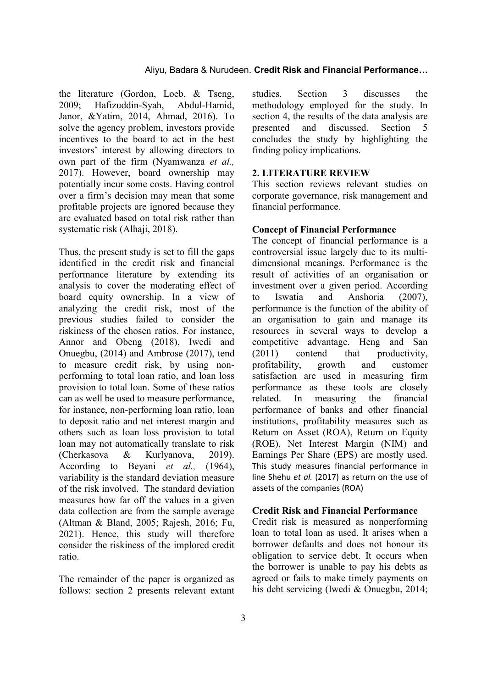the literature (Gordon, Loeb, & Tseng, 2009; Hafizuddin-Syah, Abdul-Hamid, Janor, &Yatim, 2014, Ahmad, 2016). To solve the agency problem, investors provide incentives to the board to act in the best investors' interest by allowing directors to own part of the firm (Nyamwanza *et al.,* 2017). However, board ownership may potentially incur some costs. Having control over a firm's decision may mean that some profitable projects are ignored because they are evaluated based on total risk rather than systematic risk (Alhaji, 2018).

Thus, the present study is set to fill the gaps identified in the credit risk and financial performance literature by extending its analysis to cover the moderating effect of board equity ownership. In a view of analyzing the credit risk, most of the previous studies failed to consider the riskiness of the chosen ratios. For instance, Annor and Obeng (2018), Iwedi and Onuegbu, (2014) and Ambrose (2017), tend to measure credit risk, by using nonperforming to total loan ratio, and loan loss provision to total loan. Some of these ratios can as well be used to measure performance, for instance, non-performing loan ratio, loan to deposit ratio and net interest margin and others such as loan loss provision to total loan may not automatically translate to risk (Cherkasova & Kurlyanova, 2019). According to Beyani *et al.,* (1964), variability is the standard deviation measure of the risk involved. The standard deviation measures how far off the values in a given data collection are from the sample average (Altman & Bland, 2005; Rajesh, 2016; Fu, 2021). Hence, this study will therefore consider the riskiness of the implored credit ratio.

The remainder of the paper is organized as follows: section 2 presents relevant extant studies. Section 3 discusses the methodology employed for the study. In section 4, the results of the data analysis are presented and discussed. Section 5 concludes the study by highlighting the finding policy implications.

### **2. LITERATURE REVIEW**

This section reviews relevant studies on corporate governance, risk management and financial performance.

#### **Concept of Financial Performance**

The concept of financial performance is a controversial issue largely due to its multidimensional meanings. Performance is the result of activities of an organisation or investment over a given period. According to Iswatia and Anshoria (2007), performance is the function of the ability of an organisation to gain and manage its resources in several ways to develop a competitive advantage. Heng and San (2011) contend that productivity, profitability, growth and customer satisfaction are used in measuring firm performance as these tools are closely related. In measuring the financial performance of banks and other financial institutions, profitability measures such as Return on Asset (ROA), Return on Equity (ROE), Net Interest Margin (NIM) and Earnings Per Share (EPS) are mostly used. This study measures financial performance in line Shehu *et al.* (2017) as return on the use of assets of the companies (ROA)

#### **Credit Risk and Financial Performance**

Credit risk is measured as nonperforming loan to total loan as used. It arises when a borrower defaults and does not honour its obligation to service debt. It occurs when the borrower is unable to pay his debts as agreed or fails to make timely payments on his debt servicing (Iwedi & Onuegbu, 2014;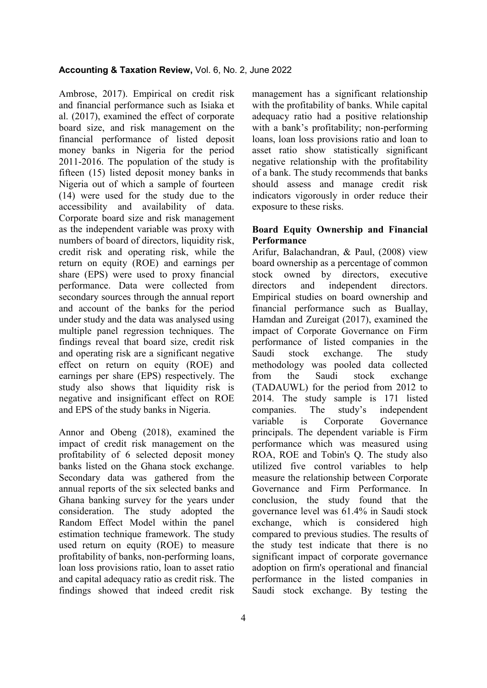Ambrose, 2017). Empirical on credit risk and financial performance such as Isiaka et al. (2017), examined the effect of corporate board size, and risk management on the financial performance of listed deposit money banks in Nigeria for the period 2011-2016. The population of the study is fifteen (15) listed deposit money banks in Nigeria out of which a sample of fourteen (14) were used for the study due to the accessibility and availability of data. Corporate board size and risk management as the independent variable was proxy with numbers of board of directors, liquidity risk, credit risk and operating risk, while the return on equity (ROE) and earnings per share (EPS) were used to proxy financial performance. Data were collected from secondary sources through the annual report and account of the banks for the period under study and the data was analysed using multiple panel regression techniques. The findings reveal that board size, credit risk and operating risk are a significant negative effect on return on equity (ROE) and earnings per share (EPS) respectively. The study also shows that liquidity risk is negative and insignificant effect on ROE and EPS of the study banks in Nigeria.

Annor and Obeng (2018), examined the impact of credit risk management on the profitability of 6 selected deposit money banks listed on the Ghana stock exchange. Secondary data was gathered from the annual reports of the six selected banks and Ghana banking survey for the years under consideration. The study adopted the Random Effect Model within the panel estimation technique framework. The study used return on equity (ROE) to measure profitability of banks, non-performing loans, loan loss provisions ratio, loan to asset ratio and capital adequacy ratio as credit risk. The findings showed that indeed credit risk

management has a significant relationship with the profitability of banks. While capital adequacy ratio had a positive relationship with a bank's profitability; non-performing loans, loan loss provisions ratio and loan to asset ratio show statistically significant negative relationship with the profitability of a bank. The study recommends that banks should assess and manage credit risk indicators vigorously in order reduce their exposure to these risks.

# **Board Equity Ownership and Financial Performance**

Arifur, Balachandran, & Paul, (2008) view board ownership as a percentage of common stock owned by directors, executive directors and independent directors. Empirical studies on board ownership and financial performance such as Buallay, Hamdan and Zureigat (2017), examined the impact of Corporate Governance on Firm performance of listed companies in the Saudi stock exchange. The study methodology was pooled data collected from the Saudi stock exchange (TADAUWL) for the period from 2012 to 2014. The study sample is 171 listed companies. The study's independent variable is Corporate Governance principals. The dependent variable is Firm performance which was measured using ROA, ROE and Tobin's Q. The study also utilized five control variables to help measure the relationship between Corporate Governance and Firm Performance. In conclusion, the study found that the governance level was 61.4% in Saudi stock exchange, which is considered high compared to previous studies. The results of the study test indicate that there is no significant impact of corporate governance adoption on firm's operational and financial performance in the listed companies in Saudi stock exchange. By testing the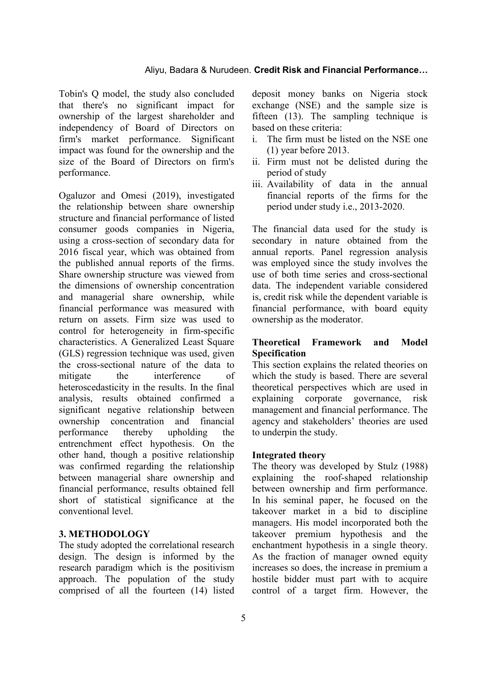Tobin's Q model, the study also concluded that there's no significant impact for ownership of the largest shareholder and independency of Board of Directors on firm's market performance. Significant impact was found for the ownership and the size of the Board of Directors on firm's performance.

Ogaluzor and Omesi (2019), investigated the relationship between share ownership structure and financial performance of listed consumer goods companies in Nigeria, using a cross-section of secondary data for 2016 fiscal year, which was obtained from the published annual reports of the firms. Share ownership structure was viewed from the dimensions of ownership concentration and managerial share ownership, while financial performance was measured with return on assets. Firm size was used to control for heterogeneity in firm-specific characteristics. A Generalized Least Square (GLS) regression technique was used, given the cross-sectional nature of the data to mitigate the interference of heteroscedasticity in the results. In the final analysis, results obtained confirmed a significant negative relationship between ownership concentration and financial performance thereby upholding the entrenchment effect hypothesis. On the other hand, though a positive relationship was confirmed regarding the relationship between managerial share ownership and financial performance, results obtained fell short of statistical significance at the conventional level.

# **3. METHODOLOGY**

The study adopted the correlational research design. The design is informed by the research paradigm which is the positivism approach. The population of the study comprised of all the fourteen (14) listed

deposit money banks on Nigeria stock exchange (NSE) and the sample size is fifteen (13). The sampling technique is based on these criteria:

- i. The firm must be listed on the NSE one (1) year before 2013.
- ii. Firm must not be delisted during the period of study
- iii. Availability of data in the annual financial reports of the firms for the period under study i.e., 2013-2020.

The financial data used for the study is secondary in nature obtained from the annual reports. Panel regression analysis was employed since the study involves the use of both time series and cross-sectional data. The independent variable considered is, credit risk while the dependent variable is financial performance, with board equity ownership as the moderator.

### **Theoretical Framework and Model Specification**

This section explains the related theories on which the study is based. There are several theoretical perspectives which are used in explaining corporate governance, risk management and financial performance. The agency and stakeholders' theories are used to underpin the study.

### **Integrated theory**

The theory was developed by Stulz (1988) explaining the roof-shaped relationship between ownership and firm performance. In his seminal paper, he focused on the takeover market in a bid to discipline managers. His model incorporated both the takeover premium hypothesis and the enchantment hypothesis in a single theory. As the fraction of manager owned equity increases so does, the increase in premium a hostile bidder must part with to acquire control of a target firm. However, the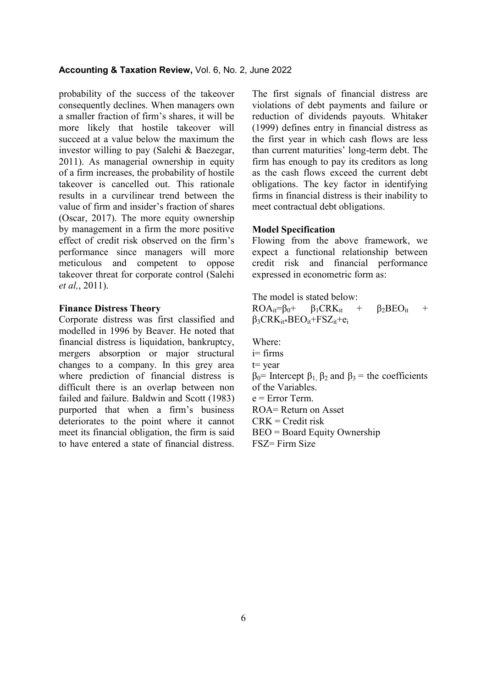#### **Accounting & Taxation Review,** Vol. 6, No. 2, June 2022

probability of the success of the takeover consequently declines. When managers own a smaller fraction of firm's shares, it will be more likely that hostile takeover will succeed at a value below the maximum the investor willing to pay (Salehi & Baezegar, 2011). As managerial ownership in equity of a firm increases, the probability of hostile takeover is cancelled out. This rationale results in a curvilinear trend between the value of firm and insider's fraction of shares (Oscar, 2017). The more equity ownership by management in a firm the more positive effect of credit risk observed on the firm's performance since managers will more meticulous and competent to oppose takeover threat for corporate control (Salehi *et al,*, 2011).

# **Finance Distress Theory**

Corporate distress was first classified and modelled in 1996 by Beaver. He noted that financial distress is liquidation, bankruptcy, mergers absorption or major structural changes to a company. In this grey area where prediction of financial distress is difficult there is an overlap between non failed and failure. Baldwin and Scott (1983) purported that when a firm's business deteriorates to the point where it cannot meet its financial obligation, the firm is said to have entered a state of financial distress.

The first signals of financial distress are violations of debt payments and failure or reduction of dividends payouts. Whitaker (1999) defines entry in financial distress as the first year in which cash flows are less than current maturities' long-term debt. The firm has enough to pay its creditors as long as the cash flows exceed the current debt obligations. The key factor in identifying firms in financial distress is their inability to meet contractual debt obligations.

#### **Model Specification**

Flowing from the above framework, we expect a functional relationship between credit risk and financial performance expressed in econometric form as:

The model is stated below:

 $ROA_{it} = \beta_0 + \beta_1 CRK_{it} + \beta_2 BEO_{it} +$  $\beta_3$ CRK<sub>it\*</sub>BEO<sub>it</sub>+FSZ<sub>it</sub>+e<sub>i</sub>

Where: i= firms t= year  $β<sub>0</sub>$ = Intercept  $β<sub>1</sub>$ ,  $β<sub>2</sub>$  and  $β<sub>3</sub>$  = the coefficients of the Variables.  $e = Error Term$ . ROA= Return on Asset  $CRK = Credit risk$ BEO = Board Equity Ownership FSZ= Firm Size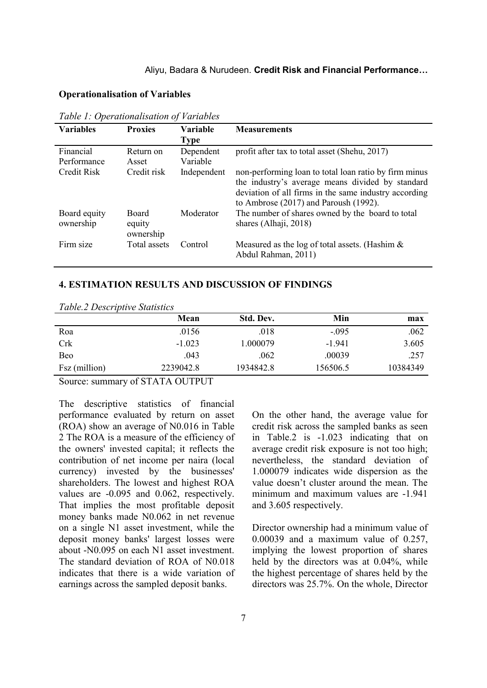# **Operationalisation of Variables**

| <b>Variables</b>          | <b>Proxies</b>                      | <b>Variable</b><br><b>Type</b> | <b>Measurements</b>                                                                                                                                                                                              |
|---------------------------|-------------------------------------|--------------------------------|------------------------------------------------------------------------------------------------------------------------------------------------------------------------------------------------------------------|
| Financial<br>Performance  | Return on<br>Asset                  | Dependent<br>Variable          | profit after tax to total asset (Shehu, 2017)                                                                                                                                                                    |
| <b>Credit Risk</b>        | Credit risk                         | Independent                    | non-performing loan to total loan ratio by firm minus<br>the industry's average means divided by standard<br>deviation of all firms in the same industry according<br>to Ambrose $(2017)$ and Paroush $(1992)$ . |
| Board equity<br>ownership | <b>Board</b><br>equity<br>ownership | Moderator                      | The number of shares owned by the board to total<br>shares (Alhaji, 2018)                                                                                                                                        |
| Firm size                 | Total assets                        | Control                        | Measured as the log of total assets. (Hashim $\&$<br>Abdul Rahman, 2011)                                                                                                                                         |

*Table 1: Operationalisation of Variables*

# **4. ESTIMATION RESULTS AND DISCUSSION OF FINDINGS**

|               | Mean      | Std. Dev. | Min      | max      |
|---------------|-----------|-----------|----------|----------|
| Roa           | .0156     | .018      | $-.095$  | .062     |
| <b>Crk</b>    | $-1.023$  | 1.000079  | $-1.941$ | 3.605    |
| Beo           | .043      | .062      | .00039   | .257     |
| Fsz (million) | 2239042.8 | 1934842.8 | 156506.5 | 10384349 |
|               |           |           |          |          |

*Table.2 Descriptive Statistics*

Source: summary of STATA OUTPUT

The descriptive statistics of financial performance evaluated by return on asset (ROA) show an average of N0.016 in Table 2 The ROA is a measure of the efficiency of the owners' invested capital; it reflects the contribution of net income per naira (local currency) invested by the businesses' shareholders. The lowest and highest ROA values are -0.095 and 0.062, respectively. That implies the most profitable deposit money banks made N0.062 in net revenue on a single N1 asset investment, while the deposit money banks' largest losses were about -N0.095 on each N1 asset investment. The standard deviation of ROA of N0.018 indicates that there is a wide variation of earnings across the sampled deposit banks.

On the other hand, the average value for credit risk across the sampled banks as seen in Table.2 is -1.023 indicating that on average credit risk exposure is not too high; nevertheless, the standard deviation of 1.000079 indicates wide dispersion as the value doesn't cluster around the mean. The minimum and maximum values are -1.941 and 3.605 respectively.

Director ownership had a minimum value of 0.00039 and a maximum value of 0.257, implying the lowest proportion of shares held by the directors was at 0.04%, while the highest percentage of shares held by the directors was 25.7%. On the whole, Director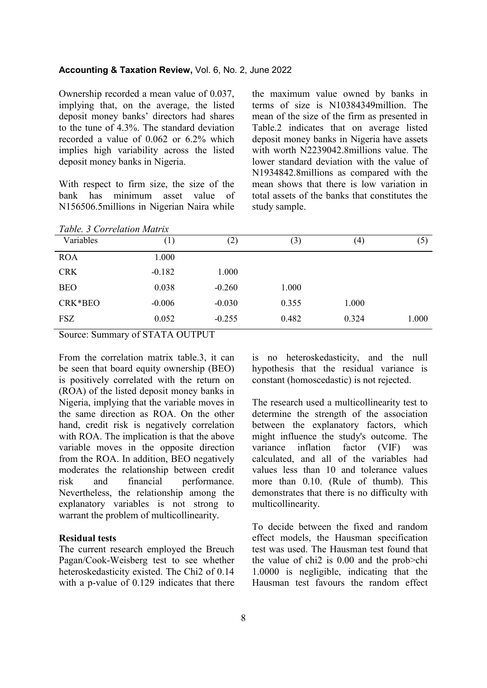### **Accounting & Taxation Review,** Vol. 6, No. 2, June 2022

Ownership recorded a mean value of 0.037, implying that, on the average, the listed deposit money banks' directors had shares to the tune of 4.3%. The standard deviation recorded a value of 0.062 or 6.2% which implies high variability across the listed deposit money banks in Nigeria.

With respect to firm size, the size of the bank has minimum asset value of N156506.5millions in Nigerian Naira while

the maximum value owned by banks in terms of size is N10384349million. The mean of the size of the firm as presented in Table.2 indicates that on average listed deposit money banks in Nigeria have assets with worth N2239042.8millions value. The lower standard deviation with the value of N1934842.8millions as compared with the mean shows that there is low variation in total assets of the banks that constitutes the study sample.

| Table. 3 Correlation Matrix |          |          |       |                   |       |
|-----------------------------|----------|----------|-------|-------------------|-------|
| Variables                   | (1)      | (2)      | (3)   | $\left( 4\right)$ | (5)   |
| <b>ROA</b>                  | 1.000    |          |       |                   |       |
| <b>CRK</b>                  | $-0.182$ | 1.000    |       |                   |       |
| <b>BEO</b>                  | 0.038    | $-0.260$ | 1.000 |                   |       |
| CRK*BEO                     | $-0.006$ | $-0.030$ | 0.355 | 1.000             |       |
| <b>FSZ</b>                  | 0.052    | $-0.255$ | 0.482 | 0.324             | 1.000 |

Source: Summary of STATA OUTPUT

From the correlation matrix table.3, it can be seen that board equity ownership (BEO) is positively correlated with the return on (ROA) of the listed deposit money banks in Nigeria, implying that the variable moves in the same direction as ROA. On the other hand, credit risk is negatively correlation with ROA. The implication is that the above variable moves in the opposite direction from the ROA. In addition, BEO negatively moderates the relationship between credit risk and financial performance. Nevertheless, the relationship among the explanatory variables is not strong to warrant the problem of multicollinearity.

#### **Residual tests**

The current research employed the Breuch Pagan/Cook-Weisberg test to see whether heteroskedasticity existed. The Chi2 of 0.14 with a p-value of 0.129 indicates that there is no heteroskedasticity, and the null hypothesis that the residual variance is constant (homoscedastic) is not rejected.

The research used a multicollinearity test to determine the strength of the association between the explanatory factors, which might influence the study's outcome. The variance inflation factor (VIF) was calculated, and all of the variables had values less than 10 and tolerance values more than 0.10. (Rule of thumb). This demonstrates that there is no difficulty with multicollinearity.

To decide between the fixed and random effect models, the Hausman specification test was used. The Hausman test found that the value of chi2 is 0.00 and the prob>chi 1.0000 is negligible, indicating that the Hausman test favours the random effect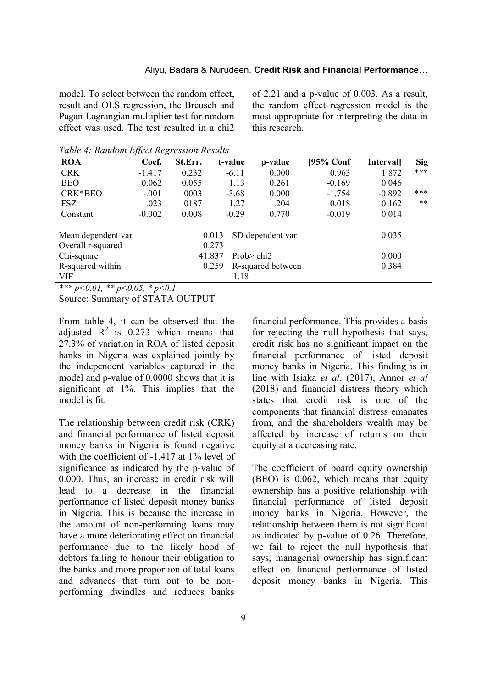model. To select between the random effect, result and OLS regression, the Breusch and Pagan Lagrangian multiplier test for random effect was used. The test resulted in a chi2 of 2.21 and a p-value of 0.003. As a result, the random effect regression model is the most appropriate for interpreting the data in this research.

*Table 4: Random Effect Regression Results*

| <b>ROA</b>                  | Coef.    | St.Err. | t-value          | p-value           | [95% Conf | <b>Intervall</b> | <b>Sig</b> |
|-----------------------------|----------|---------|------------------|-------------------|-----------|------------------|------------|
| <b>CRK</b>                  | $-1.417$ | 0.232   | $-6.11$          | 0.000             | 0.963     | 1.872            | ***        |
| <b>BEO</b>                  | 0.062    | 0.055   | 1.13             | 0.261             | $-0.169$  | 0.046            |            |
| CRK*BEO                     | $-.001$  | .0003   | $-3.68$          | 0.000             | $-1.754$  | $-0.892$         | ***        |
| FSZ                         | .023     | .0187   | 1.27             | .204              | 0.018     | 0.162            | **         |
| Constant                    | $-0.002$ | 0.008   | $-0.29$          | 0.770             | $-0.019$  | 0.014            |            |
|                             |          |         |                  |                   |           |                  |            |
| Mean dependent var<br>0.013 |          |         | SD dependent var |                   | 0.035     |                  |            |
| Overall r-squared<br>0.273  |          |         |                  |                   |           |                  |            |
| Chi-square<br>41.837        |          |         | Prob $>$ chi2    |                   | 0.000     |                  |            |
| R-squared within            | 0.259    |         |                  | R-squared between |           | 0.384            |            |
| VIF                         |          |         | 1.18             |                   |           |                  |            |

*\*\*\* p<0.01, \*\* p<0.05, \* p<0.1* 

Source: Summary of STATA OUTPUT

From table 4, it can be observed that the adjusted  $R^2$  is 0.273 which means that 27.3% of variation in ROA of listed deposit banks in Nigeria was explained jointly by the independent variables captured in the model and p-value of 0.0000 shows that it is significant at 1%. This implies that the model is fit.

The relationship between credit risk (CRK) and financial performance of listed deposit money banks in Nigeria is found negative with the coefficient of -1.417 at 1% level of significance as indicated by the p-value of 0.000. Thus, an increase in credit risk will lead to a decrease in the financial performance of listed deposit money banks in Nigeria. This is because the increase in the amount of non-performing loans may have a more deteriorating effect on financial performance due to the likely hood of debtors failing to honour their obligation to the banks and more proportion of total loans and advances that turn out to be nonperforming dwindles and reduces banks

financial performance. This provides a basis for rejecting the null hypothesis that says, credit risk has no significant impact on the financial performance of listed deposit money banks in Nigeria. This finding is in line with Isiaka *et al*. (2017), Annor *et al*  (2018) and financial distress theory which states that credit risk is one of the components that financial distress emanates from, and the shareholders wealth may be affected by increase of returns on their equity at a decreasing rate.

The coefficient of board equity ownership (BEO) is 0.062, which means that equity ownership has a positive relationship with financial performance of listed deposit money banks in Nigeria. However, the relationship between them is not significant as indicated by p-value of 0.26. Therefore, we fail to reject the null hypothesis that says, managerial ownership has significant effect on financial performance of listed deposit money banks in Nigeria. This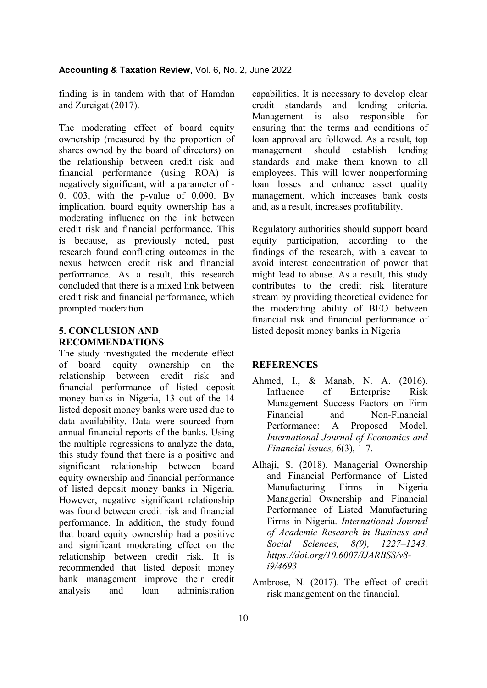finding is in tandem with that of Hamdan and Zureigat (2017).

The moderating effect of board equity ownership (measured by the proportion of shares owned by the board of directors) on the relationship between credit risk and financial performance (using ROA) is negatively significant, with a parameter of - 0. 003, with the p-value of 0.000. By implication, board equity ownership has a moderating influence on the link between credit risk and financial performance. This is because, as previously noted, past research found conflicting outcomes in the nexus between credit risk and financial performance. As a result, this research concluded that there is a mixed link between credit risk and financial performance, which prompted moderation

# **5. CONCLUSION AND RECOMMENDATIONS**

The study investigated the moderate effect of board equity ownership on the relationship between credit risk and financial performance of listed deposit money banks in Nigeria, 13 out of the 14 listed deposit money banks were used due to data availability. Data were sourced from annual financial reports of the banks. Using the multiple regressions to analyze the data, this study found that there is a positive and significant relationship between board equity ownership and financial performance of listed deposit money banks in Nigeria. However, negative significant relationship was found between credit risk and financial performance. In addition, the study found that board equity ownership had a positive and significant moderating effect on the relationship between credit risk. It is recommended that listed deposit money bank management improve their credit analysis and loan administration

capabilities. It is necessary to develop clear credit standards and lending criteria. Management is also responsible for ensuring that the terms and conditions of loan approval are followed. As a result, top management should establish lending standards and make them known to all employees. This will lower nonperforming loan losses and enhance asset quality management, which increases bank costs and, as a result, increases profitability.

Regulatory authorities should support board equity participation, according to the findings of the research, with a caveat to avoid interest concentration of power that might lead to abuse. As a result, this study contributes to the credit risk literature stream by providing theoretical evidence for the moderating ability of BEO between financial risk and financial performance of listed deposit money banks in Nigeria

# **REFERENCES**

- Ahmed, I., & Manab, N. A. (2016). Influence of Enterprise Risk Management Success Factors on Firm Financial and Non-Financial Performance: A Proposed Model. *International Journal of Economics and Financial Issues,* 6(3), 1-7.
- Alhaji, S. (2018). Managerial Ownership and Financial Performance of Listed Manufacturing Firms in Nigeria Managerial Ownership and Financial Performance of Listed Manufacturing Firms in Nigeria. *International Journal of Academic Research in Business and Social Sciences, 8(9), 1227–1243. https://doi.org/10.6007/IJARBSS/v8 i9/4693*
- Ambrose, N. (2017). The effect of credit risk management on the financial.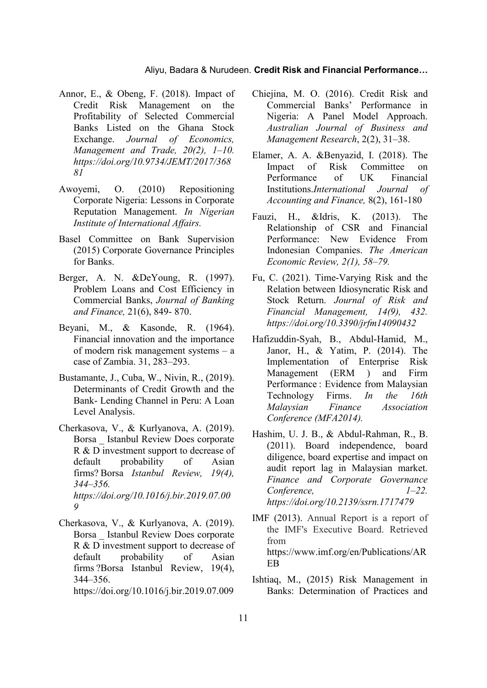- Annor, E., & Obeng, F. (2018). Impact of Credit Risk Management on the Profitability of Selected Commercial Banks Listed on the Ghana Stock Exchange. *Journal of Economics, Management and Trade, 20(2), 1–10. https://doi.org/10.9734/JEMT/2017/368 81*
- Awoyemi, O. (2010) Repositioning Corporate Nigeria: Lessons in Corporate Reputation Management. *In Nigerian Institute of International Affairs.*
- Basel Committee on Bank Supervision (2015) Corporate Governance Principles for Banks.
- Berger, A. N. &DeYoung, R. (1997). Problem Loans and Cost Efficiency in Commercial Banks, *Journal of Banking and Finance,* 21(6), 849- 870.
- Beyani, M., & Kasonde, R. (1964). Financial innovation and the importance of modern risk management systems – a case of Zambia. 31, 283–293.
- Bustamante, J., Cuba, W., Nivin, R., (2019). Determinants of Credit Growth and the Bank- Lending Channel in Peru: A Loan Level Analysis.
- Cherkasova, V., & Kurlyanova, A. (2019). Borsa \_ Istanbul Review Does corporate R & D investment support to decrease of default probability of Asian firms? Borsa *Istanbul Review, 19(4), 344–356. https://doi.org/10.1016/j.bir.2019.07.00 9*
- Cherkasova, V., & Kurlyanova, A. (2019). Borsa \_ Istanbul Review Does corporate R & D investment support to decrease of default probability of Asian firms ?Borsa Istanbul Review, 19(4), 344–356. https://doi.org/10.1016/j.bir.2019.07.009
- Chiejina, M. O. (2016). Credit Risk and Commercial Banks' Performance in Nigeria: A Panel Model Approach. *Australian Journal of Business and Management Research*, 2(2), 31–38.
- Elamer, A. A. &Benyazid, I. (2018). The Impact of Risk Committee on Performance of UK Financial Institutions.*International Journal of Accounting and Finance,* 8(2), 161-180
- Fauzi, H., &Idris, K. (2013). The Relationship of CSR and Financial Performance: New Evidence From Indonesian Companies. *The American Economic Review, 2(1), 58–79.*
- Fu, C. (2021). Time-Varying Risk and the Relation between Idiosyncratic Risk and Stock Return. *Journal of Risk and Financial Management, 14(9), 432. https://doi.org/10.3390/jrfm14090432*
- Hafizuddin-Syah, B., Abdul-Hamid, M., Janor, H., & Yatim, P. (2014). The Implementation of Enterprise Risk Management (ERM ) and Firm Performance : Evidence from Malaysian Technology Firms. *In the 16th Malaysian Finance Association Conference (MFA2014).*
- Hashim, U. J. B., & Abdul-Rahman, R., B. (2011). Board independence, board diligence, board expertise and impact on audit report lag in Malaysian market. *Finance and Corporate Governance Conference, 1–22. https://doi.org/10.2139/ssrn.1717479*
- IMF (2013). Annual Report is a report of the IMF's Executive Board. Retrieved from https://www.imf.org/en/Publications/AR EB
- Ishtiaq, M., (2015) Risk Management in Banks: Determination of Practices and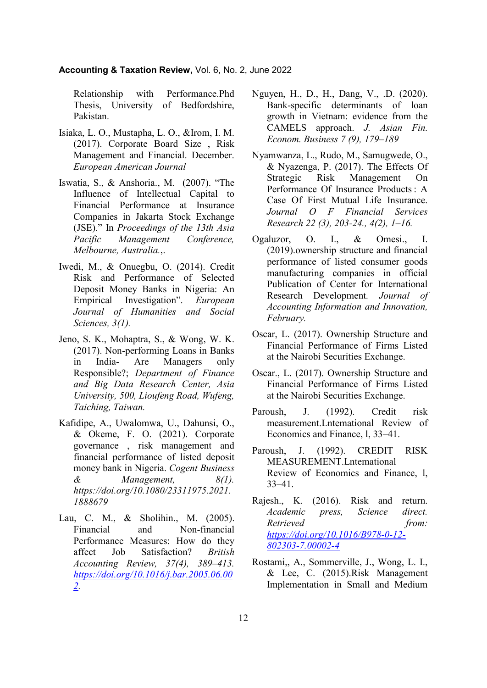### **Accounting & Taxation Review,** Vol. 6, No. 2, June 2022

Relationship with Performance.Phd Thesis, University of Bedfordshire, Pakistan.

- Isiaka, L. O., Mustapha, L. O., &Irom, I. M. (2017). Corporate Board Size , Risk Management and Financial. December. *European American Journal*
- Iswatia, S., & Anshoria., M. (2007). "The Influence of Intellectual Capital to Financial Performance at Insurance Companies in Jakarta Stock Exchange (JSE)." In *Proceedings of the 13th Asia Pacific Management Conference, Melbourne, Australia.*,.
- Iwedi, M., & Onuegbu, O. (2014). Credit Risk and Performance of Selected Deposit Money Banks in Nigeria: An Empirical Investigation". *European Journal of Humanities and Social Sciences, 3(1).*
- Jeno, S. K., Mohaptra, S., & Wong, W. K. (2017). Non-performing Loans in Banks in India- Are Managers only Responsible?; *Department of Finance and Big Data Research Center, Asia University, 500, Lioufeng Road, Wufeng, Taiching, Taiwan.*
- Kafidipe, A., Uwalomwa, U., Dahunsi, O., & Okeme, F. O. (2021). Corporate governance , risk management and financial performance of listed deposit money bank in Nigeria. *Cogent Business & Management, 8(1). https://doi.org/10.1080/23311975.2021. 1888679*
- Lau, C. M., & Sholihin., M. (2005). Financial and Non-financial Performance Measures: How do they affect Job Satisfaction? *British Accounting Review, 37(4), 389–413. [https://doi.org/10.1016/j.bar.2005.06.00](https://doi.org/10.1016/j.bar.2005.06.002) [2.](https://doi.org/10.1016/j.bar.2005.06.002)*
- Nguyen, H., D., H., Dang, V., .D. (2020). Bank-specific determinants of loan growth in Vietnam: evidence from the CAMELS approach. *J. Asian Fin. Econom. Business 7 (9), 179–189*
- Nyamwanza, L., Rudo, M., Samugwede, O., & Nyazenga, P. (2017). The Effects Of Strategic Risk Management On Performance Of Insurance Products : A Case Of First Mutual Life Insurance. *Journal O F Financial Services Research 22 (3), 203-24., 4(2), 1–16.*
- Ogaluzor, O. I., & Omesi., I. (2019).ownership structure and financial performance of listed consumer goods manufacturing companies in official Publication of Center for International Research Development*. Journal of Accounting Information and Innovation, February.*
- Oscar, L. (2017). Ownership Structure and Financial Performance of Firms Listed at the Nairobi Securities Exchange.
- Oscar., L. (2017). Ownership Structure and Financial Performance of Firms Listed at the Nairobi Securities Exchange.
- Paroush, J. (1992). Credit risk measurement.Lntemational Review of Economics and Finance, l, 33–41.
- Paroush, J. (1992). CREDIT RISK MEASUREMENT.Lntemational Review of Economics and Finance, l, 33–41.
- Rajesh., K. (2016). Risk and return. *Academic press, Science direct.*  Retrieved from: *[https://doi.org/10.1016/B978-0-12-](https://doi.org/10.1016/B978-0-12-802303-7.00002-4) [802303-7.00002-4](https://doi.org/10.1016/B978-0-12-802303-7.00002-4)*
- Rostami,, A., Sommerville, J., Wong, L. I., & Lee, C. (2015).Risk Management Implementation in Small and Medium